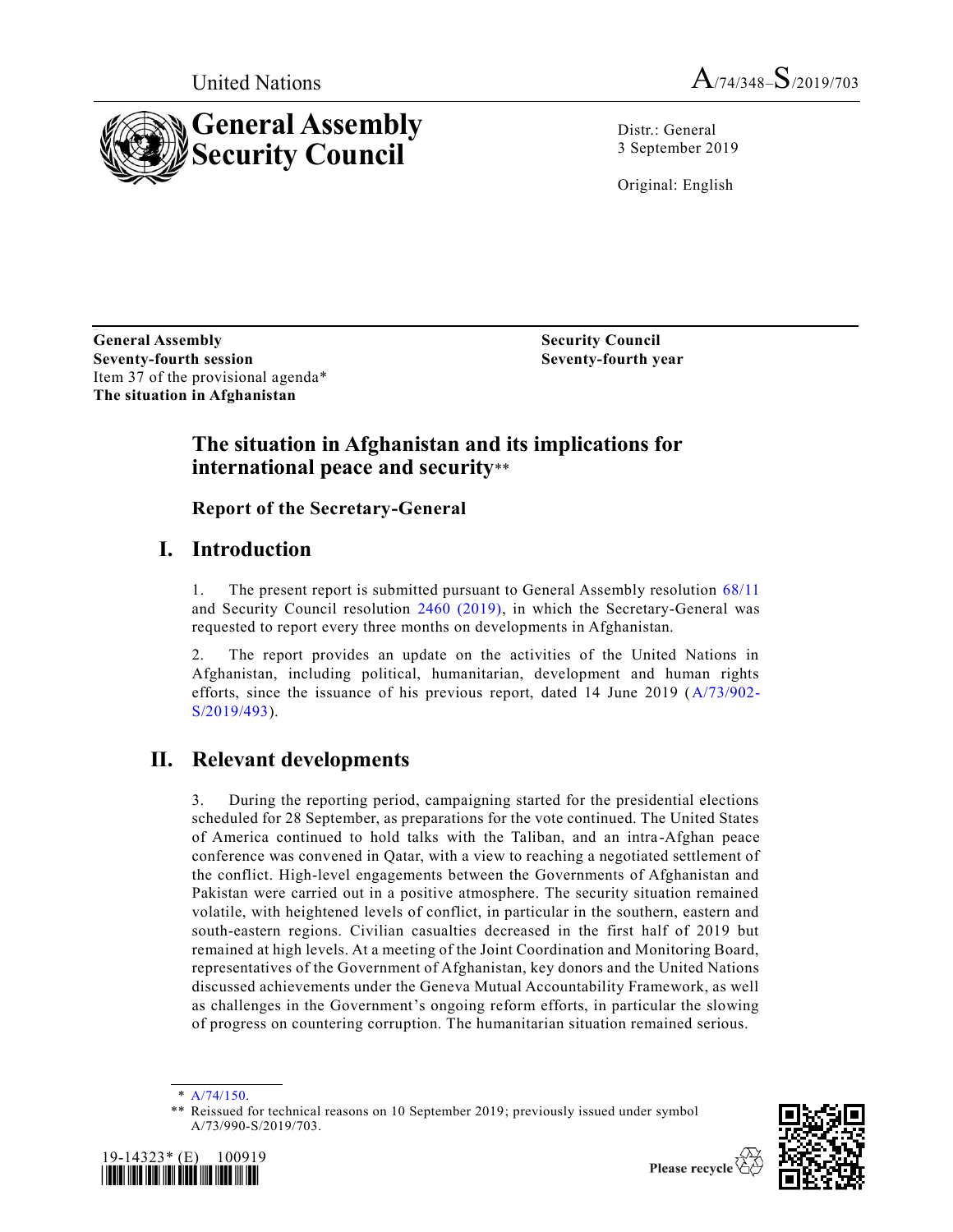



Distr.: General 3 September 2019

Original: English

**General Assembly Seventy-fourth session** Item 37 of the provisional agenda\* **The situation in Afghanistan**

**Security Council Seventy-fourth year**

#### **The situation in Afghanistan and its implications for international peace and security**\*\*

**Report of the Secretary-General** 

## **I. Introduction**

1. The present report is submitted pursuant to General Assembly resolution [68/11](https://undocs.org/en/A/RES/68/11) and Security Council resolution [2460 \(2019\),](https://undocs.org/en/S/RES/2460%20(2019)) in which the Secretary-General was requested to report every three months on developments in Afghanistan.

2. The report provides an update on the activities of the United Nations in Afghanistan, including political, humanitarian, development and human rights efforts, since the issuance of his previous report, dated 14 June 2019 [\(A/73/902-](https://undocs.org/en/A/73/902) [S/2019/493\)](https://undocs.org/en/A/73/902).

# **II. Relevant developments**

3. During the reporting period, campaigning started for the presidential elections scheduled for 28 September, as preparations for the vote continued. The United States of America continued to hold talks with the Taliban, and an intra -Afghan peace conference was convened in Qatar, with a view to reaching a negotiated settlement of the conflict. High-level engagements between the Governments of Afghanistan and Pakistan were carried out in a positive atmosphere. The security situation remained volatile, with heightened levels of conflict, in particular in the southern, eastern and south-eastern regions. Civilian casualties decreased in the first half of 2019 but remained at high levels. At a meeting of the Joint Coordination and Monitoring Board, representatives of the Government of Afghanistan, key donors and the United Nations discussed achievements under the Geneva Mutual Accountability Framework, as well as challenges in the Government's ongoing reform efforts, in particular the slowing of progress on countering corruption. The humanitarian situation remained serious.

<sup>\*\*</sup> Reissued for technical reasons on 10 September 2019; previously issued under symbol A/73/990-S/2019/703.





<sup>\*</sup> [A/74/150.](https://undocs.org/en/A/74/150)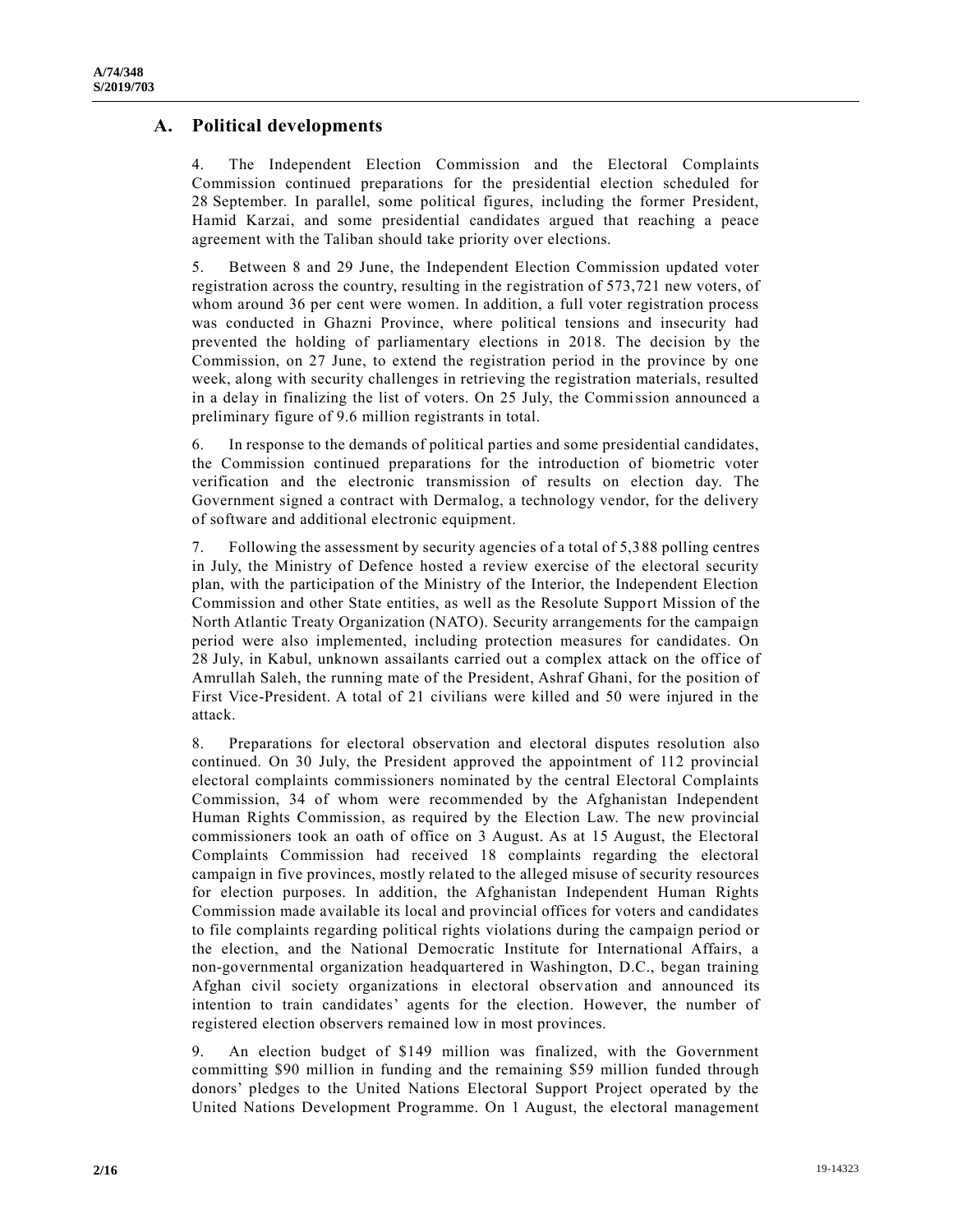#### **A. Political developments**

4. The Independent Election Commission and the Electoral Complaints Commission continued preparations for the presidential election scheduled for 28 September. In parallel, some political figures, including the former President, Hamid Karzai, and some presidential candidates argued that reaching a peace agreement with the Taliban should take priority over elections.

5. Between 8 and 29 June, the Independent Election Commission updated voter registration across the country, resulting in the registration of 573,721 new voters, of whom around 36 per cent were women. In addition, a full voter registration process was conducted in Ghazni Province, where political tensions and insecurity had prevented the holding of parliamentary elections in 2018. The decision by the Commission, on 27 June, to extend the registration period in the province by one week, along with security challenges in retrieving the registration materials, resulted in a delay in finalizing the list of voters. On 25 July, the Commission announced a preliminary figure of 9.6 million registrants in total.

6. In response to the demands of political parties and some presidential candidates, the Commission continued preparations for the introduction of biometric voter verification and the electronic transmission of results on election day. The Government signed a contract with Dermalog, a technology vendor, for the delivery of software and additional electronic equipment.

7. Following the assessment by security agencies of a total of 5,388 polling centres in July, the Ministry of Defence hosted a review exercise of the electoral security plan, with the participation of the Ministry of the Interior, the Independent Election Commission and other State entities, as well as the Resolute Support Mission of the North Atlantic Treaty Organization (NATO). Security arrangements for the campaign period were also implemented, including protection measures for candidates. On 28 July, in Kabul, unknown assailants carried out a complex attack on the office of Amrullah Saleh, the running mate of the President, Ashraf Ghani, for the position of First Vice-President. A total of 21 civilians were killed and 50 were injured in the attack.

8. Preparations for electoral observation and electoral disputes resolution also continued. On 30 July, the President approved the appointment of 112 provincial electoral complaints commissioners nominated by the central Electoral Complaints Commission, 34 of whom were recommended by the Afghanistan Independent Human Rights Commission, as required by the Election Law. The new provincial commissioners took an oath of office on 3 August. As at 15 August, the Electoral Complaints Commission had received 18 complaints regarding the electoral campaign in five provinces, mostly related to the alleged misuse of security resources for election purposes. In addition, the Afghanistan Independent Human Rights Commission made available its local and provincial offices for voters and candidates to file complaints regarding political rights violations during the campaign period or the election, and the National Democratic Institute for International Affairs, a non-governmental organization headquartered in Washington, D.C., began training Afghan civil society organizations in electoral observation and announced its intention to train candidates' agents for the election. However, the number of registered election observers remained low in most provinces.

9. An election budget of \$149 million was finalized, with the Government committing \$90 million in funding and the remaining \$59 million funded through donors' pledges to the United Nations Electoral Support Project operated by the United Nations Development Programme. On 1 August, the electoral management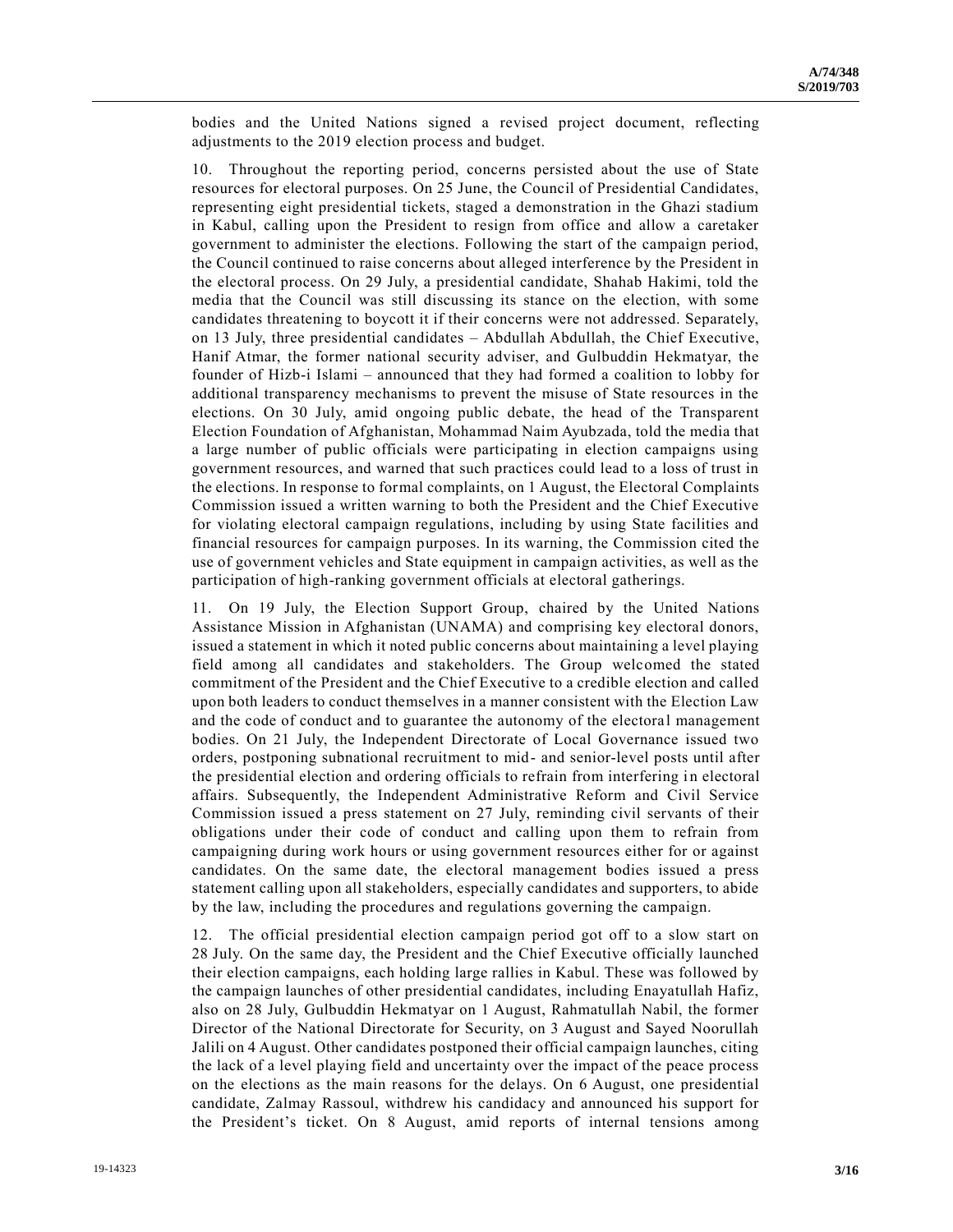bodies and the United Nations signed a revised project document, reflecting adjustments to the 2019 election process and budget.

10. Throughout the reporting period, concerns persisted about the use of State resources for electoral purposes. On 25 June, the Council of Presidential Candidates, representing eight presidential tickets, staged a demonstration in the Ghazi stadium in Kabul, calling upon the President to resign from office and allow a caretaker government to administer the elections. Following the start of the campaign period, the Council continued to raise concerns about alleged interference by the President in the electoral process. On 29 July, a presidential candidate, Shahab Hakimi, told the media that the Council was still discussing its stance on the election, with some candidates threatening to boycott it if their concerns were not addressed. Separately, on 13 July, three presidential candidates – Abdullah Abdullah, the Chief Executive, Hanif Atmar, the former national security adviser, and Gulbuddin Hekmatyar, the founder of Hizb-i Islami – announced that they had formed a coalition to lobby for additional transparency mechanisms to prevent the misuse of State resources in the elections. On 30 July, amid ongoing public debate, the head of the Transparent Election Foundation of Afghanistan, Mohammad Naim Ayubzada, told the media that a large number of public officials were participating in election campaigns using government resources, and warned that such practices could lead to a loss of trust in the elections. In response to formal complaints, on 1 August, the Electoral Complaints Commission issued a written warning to both the President and the Chief Executive for violating electoral campaign regulations, including by using State facilities and financial resources for campaign purposes. In its warning, the Commission cited the use of government vehicles and State equipment in campaign activities, as well as the participation of high-ranking government officials at electoral gatherings.

11. On 19 July, the Election Support Group, chaired by the United Nations Assistance Mission in Afghanistan (UNAMA) and comprising key electoral donors, issued a statement in which it noted public concerns about maintaining a level playing field among all candidates and stakeholders. The Group welcomed the stated commitment of the President and the Chief Executive to a credible election and called upon both leaders to conduct themselves in a manner consistent with the Election Law and the code of conduct and to guarantee the autonomy of the electoral management bodies. On 21 July, the Independent Directorate of Local Governance issued two orders, postponing subnational recruitment to mid- and senior-level posts until after the presidential election and ordering officials to refrain from interfering in electoral affairs. Subsequently, the Independent Administrative Reform and Civil Service Commission issued a press statement on 27 July, reminding civil servants of their obligations under their code of conduct and calling upon them to refrain from campaigning during work hours or using government resources either for or against candidates. On the same date, the electoral management bodies issued a press statement calling upon all stakeholders, especially candidates and supporters, to abide by the law, including the procedures and regulations governing the campaign.

12. The official presidential election campaign period got off to a slow start on 28 July. On the same day, the President and the Chief Executive officially launched their election campaigns, each holding large rallies in Kabul. These was followed by the campaign launches of other presidential candidates, including Enayatullah Hafiz, also on 28 July, Gulbuddin Hekmatyar on 1 August, Rahmatullah Nabil, the former Director of the National Directorate for Security, on 3 August and Sayed Noorullah Jalili on 4 August. Other candidates postponed their official campaign launches, citing the lack of a level playing field and uncertainty over the impact of the peace process on the elections as the main reasons for the delays. On 6 August, one presidential candidate, Zalmay Rassoul, withdrew his candidacy and announced his support for the President's ticket. On 8 August, amid reports of internal tensions among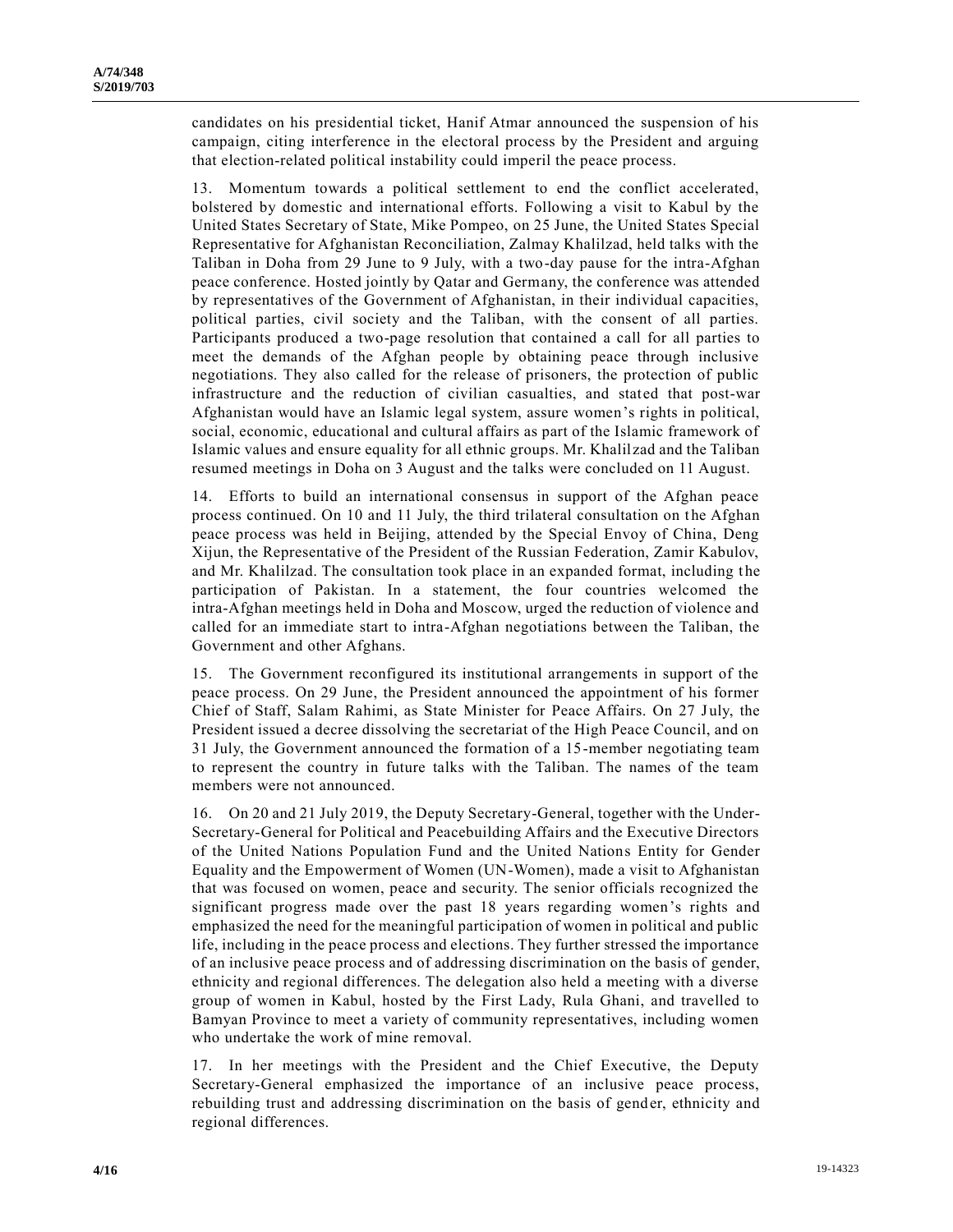candidates on his presidential ticket, Hanif Atmar announced the suspension of his campaign, citing interference in the electoral process by the President and arguing that election-related political instability could imperil the peace process.

13. Momentum towards a political settlement to end the conflict accelerated, bolstered by domestic and international efforts. Following a visit to Kabul by the United States Secretary of State, Mike Pompeo, on 25 June, the United States Special Representative for Afghanistan Reconciliation, Zalmay Khalilzad, held talks with the Taliban in Doha from 29 June to 9 July, with a two-day pause for the intra-Afghan peace conference. Hosted jointly by Qatar and Germany, the conference was attended by representatives of the Government of Afghanistan, in their individual capacities, political parties, civil society and the Taliban, with the consent of all parties. Participants produced a two-page resolution that contained a call for all parties to meet the demands of the Afghan people by obtaining peace through inclusive negotiations. They also called for the release of prisoners, the protection of public infrastructure and the reduction of civilian casualties, and stated that post-war Afghanistan would have an Islamic legal system, assure women's rights in political, social, economic, educational and cultural affairs as part of the Islamic framework of Islamic values and ensure equality for all ethnic groups. Mr. Khalilzad and the Taliban resumed meetings in Doha on 3 August and the talks were concluded on 11 August.

14. Efforts to build an international consensus in support of the Afghan peace process continued. On 10 and 11 July, the third trilateral consultation on the Afghan peace process was held in Beijing, attended by the Special Envoy of China, Deng Xijun, the Representative of the President of the Russian Federation, Zamir Kabulov, and Mr. Khalilzad. The consultation took place in an expanded format, including the participation of Pakistan. In a statement, the four countries welcomed the intra-Afghan meetings held in Doha and Moscow, urged the reduction of violence and called for an immediate start to intra-Afghan negotiations between the Taliban, the Government and other Afghans.

15. The Government reconfigured its institutional arrangements in support of the peace process. On 29 June, the President announced the appointment of his former Chief of Staff, Salam Rahimi, as State Minister for Peace Affairs. On 27 July, the President issued a decree dissolving the secretariat of the High Peace Council, and on 31 July, the Government announced the formation of a 15-member negotiating team to represent the country in future talks with the Taliban. The names of the team members were not announced.

16. On 20 and 21 July 2019, the Deputy Secretary-General, together with the Under-Secretary-General for Political and Peacebuilding Affairs and the Executive Directors of the United Nations Population Fund and the United Nations Entity for Gender Equality and the Empowerment of Women (UN-Women), made a visit to Afghanistan that was focused on women, peace and security. The senior officials recognized the significant progress made over the past 18 years regarding women's rights and emphasized the need for the meaningful participation of women in political and public life, including in the peace process and elections. They further stressed the importance of an inclusive peace process and of addressing discrimination on the basis of gender, ethnicity and regional differences. The delegation also held a meeting with a diverse group of women in Kabul, hosted by the First Lady, Rula Ghani, and travelled to Bamyan Province to meet a variety of community representatives, including women who undertake the work of mine removal.

17. In her meetings with the President and the Chief Executive, the Deputy Secretary-General emphasized the importance of an inclusive peace process, rebuilding trust and addressing discrimination on the basis of gender, ethnicity and regional differences.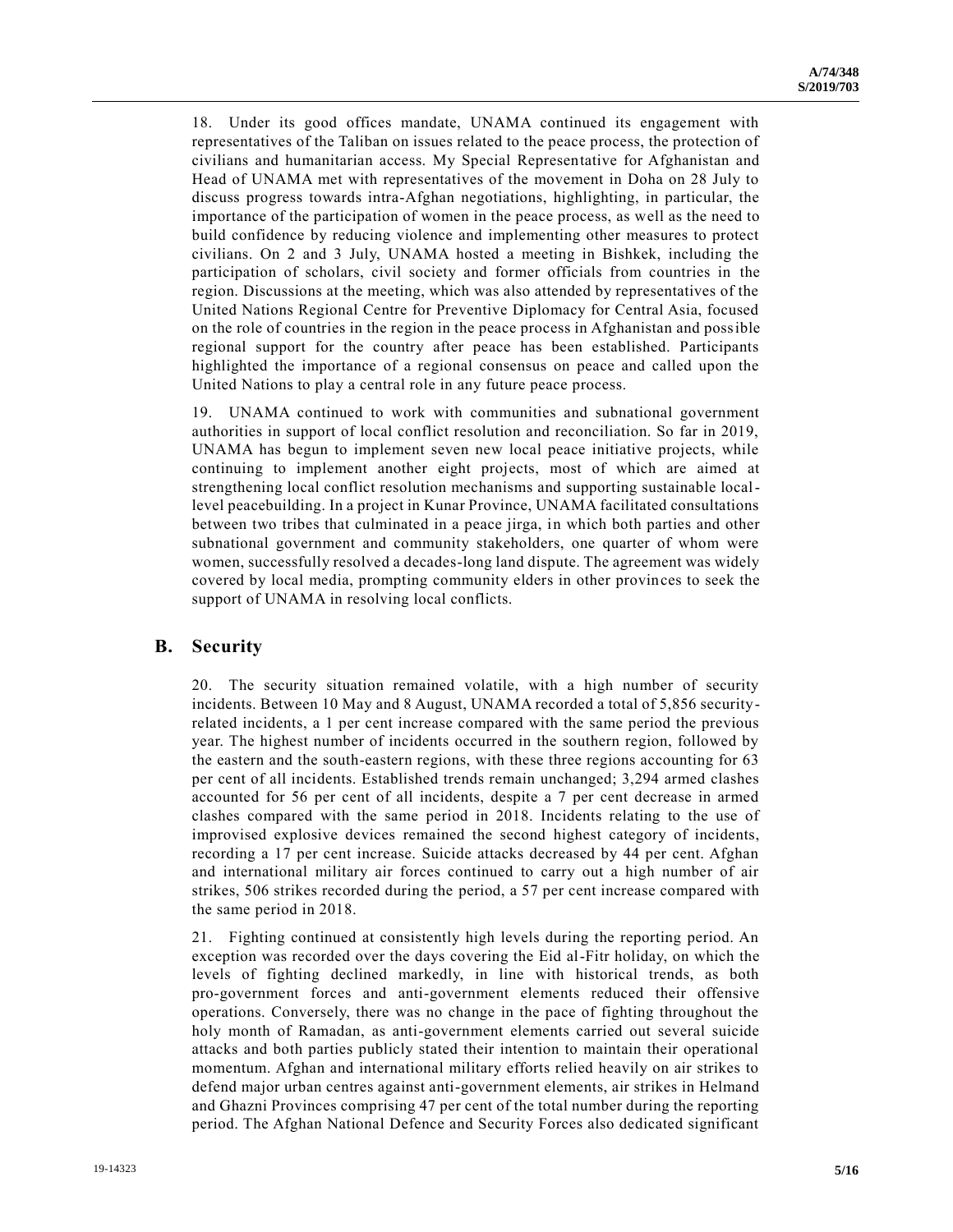18. Under its good offices mandate, UNAMA continued its engagement with representatives of the Taliban on issues related to the peace process, the protection of civilians and humanitarian access. My Special Representative for Afghanistan and Head of UNAMA met with representatives of the movement in Doha on 28 July to discuss progress towards intra-Afghan negotiations, highlighting, in particular, the importance of the participation of women in the peace process, as well as the need to build confidence by reducing violence and implementing other measures to protect civilians. On 2 and 3 July, UNAMA hosted a meeting in Bishkek, including the participation of scholars, civil society and former officials from countries in the region. Discussions at the meeting, which was also attended by representatives of the United Nations Regional Centre for Preventive Diplomacy for Central Asia, focused on the role of countries in the region in the peace process in Afghanistan and possible regional support for the country after peace has been established. Participants highlighted the importance of a regional consensus on peace and called upon the United Nations to play a central role in any future peace process.

19. UNAMA continued to work with communities and subnational government authorities in support of local conflict resolution and reconciliation. So far in 2019, UNAMA has begun to implement seven new local peace initiative projects, while continuing to implement another eight projects, most of which are aimed at strengthening local conflict resolution mechanisms and supporting sustainable locallevel peacebuilding. In a project in Kunar Province, UNAMA facilitated consultations between two tribes that culminated in a peace jirga, in which both parties and other subnational government and community stakeholders, one quarter of whom were women, successfully resolved a decades-long land dispute. The agreement was widely covered by local media, prompting community elders in other provinces to seek the support of UNAMA in resolving local conflicts.

#### **B. Security**

20. The security situation remained volatile, with a high number of security incidents. Between 10 May and 8 August, UNAMA recorded a total of 5,856 securityrelated incidents, a 1 per cent increase compared with the same period the previous year. The highest number of incidents occurred in the southern region, followed by the eastern and the south-eastern regions, with these three regions accounting for 63 per cent of all incidents. Established trends remain unchanged; 3,294 armed clashes accounted for 56 per cent of all incidents, despite a 7 per cent decrease in armed clashes compared with the same period in 2018. Incidents relating to the use of improvised explosive devices remained the second highest category of incidents, recording a 17 per cent increase. Suicide attacks decreased by 44 per cent. Afghan and international military air forces continued to carry out a high number of air strikes, 506 strikes recorded during the period, a 57 per cent increase compared with the same period in 2018.

21. Fighting continued at consistently high levels during the reporting period. An exception was recorded over the days covering the Eid al-Fitr holiday, on which the levels of fighting declined markedly, in line with historical trends, as both pro-government forces and anti-government elements reduced their offensive operations. Conversely, there was no change in the pace of fighting throughout the holy month of Ramadan, as anti-government elements carried out several suicide attacks and both parties publicly stated their intention to maintain their operational momentum. Afghan and international military efforts relied heavily on air strikes to defend major urban centres against anti-government elements, air strikes in Helmand and Ghazni Provinces comprising 47 per cent of the total number during the reporting period. The Afghan National Defence and Security Forces also dedicated significant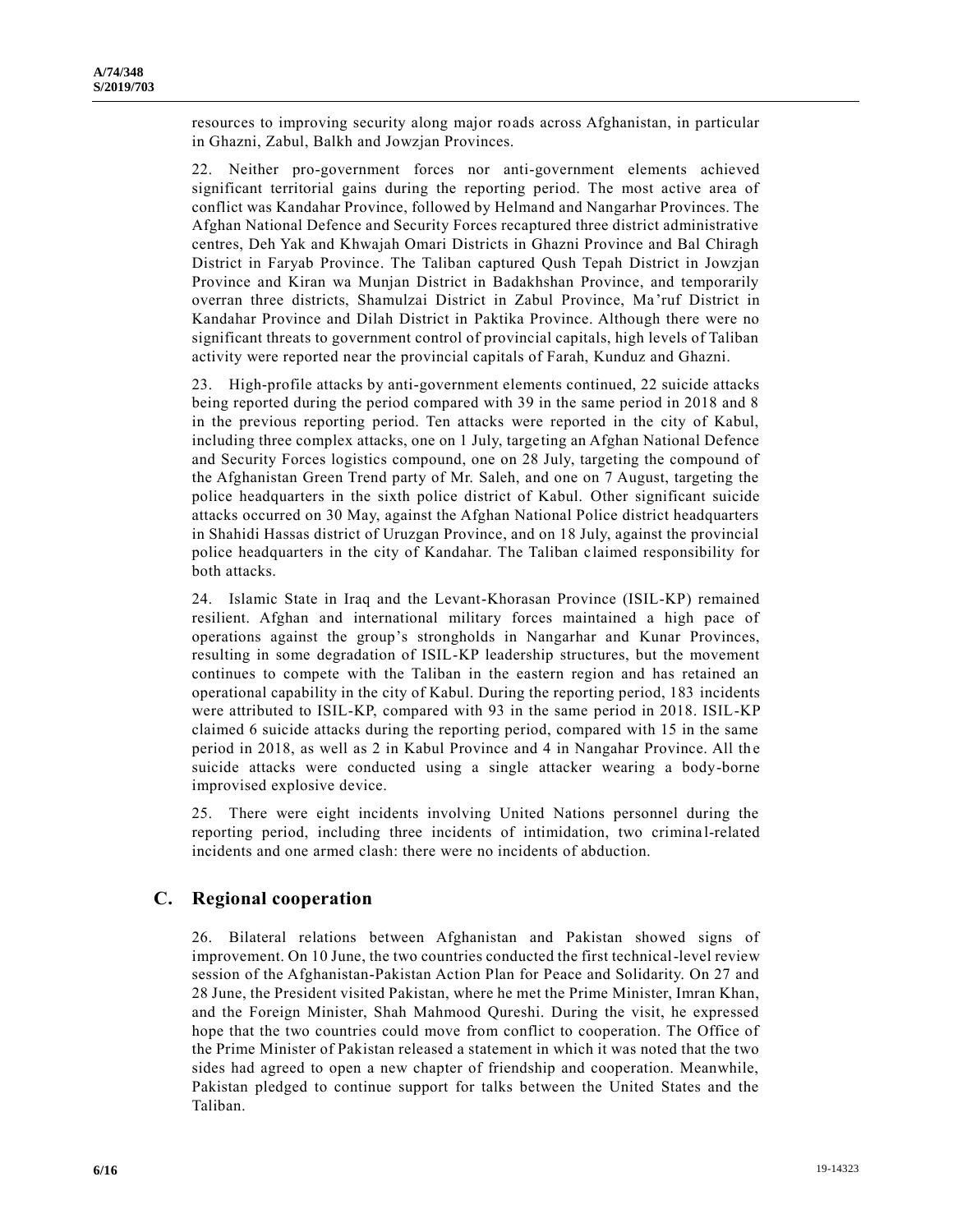resources to improving security along major roads across Afghanistan, in particular in Ghazni, Zabul, Balkh and Jowzjan Provinces.

22. Neither pro-government forces nor anti-government elements achieved significant territorial gains during the reporting period. The most active area of conflict was Kandahar Province, followed by Helmand and Nangarhar Provinces. The Afghan National Defence and Security Forces recaptured three district administrative centres, Deh Yak and Khwajah Omari Districts in Ghazni Province and Bal Chiragh District in Faryab Province. The Taliban captured Qush Tepah District in Jowzjan Province and Kiran wa Munjan District in Badakhshan Province, and temporarily overran three districts, Shamulzai District in Zabul Province, Ma 'ruf District in Kandahar Province and Dilah District in Paktika Province. Although there were no significant threats to government control of provincial capitals, high levels of Taliban activity were reported near the provincial capitals of Farah, Kunduz and Ghazni.

23. High-profile attacks by anti-government elements continued, 22 suicide attacks being reported during the period compared with 39 in the same period in 2018 and 8 in the previous reporting period. Ten attacks were reported in the city of Kabul, including three complex attacks, one on 1 July, targeting an Afghan National Defence and Security Forces logistics compound, one on 28 July, targeting the compound of the Afghanistan Green Trend party of Mr. Saleh, and one on 7 August, targeting the police headquarters in the sixth police district of Kabul. Other significant suicide attacks occurred on 30 May, against the Afghan National Police district headquarters in Shahidi Hassas district of Uruzgan Province, and on 18 July, against the provincial police headquarters in the city of Kandahar. The Taliban claimed responsibility for both attacks.

24. Islamic State in Iraq and the Levant-Khorasan Province (ISIL-KP) remained resilient. Afghan and international military forces maintained a high pace of operations against the group's strongholds in Nangarhar and Kunar Provinces, resulting in some degradation of ISIL-KP leadership structures, but the movement continues to compete with the Taliban in the eastern region and has retained an operational capability in the city of Kabul. During the reporting period, 183 incidents were attributed to ISIL-KP, compared with 93 in the same period in 2018. ISIL-KP claimed 6 suicide attacks during the reporting period, compared with 15 in the same period in 2018, as well as 2 in Kabul Province and 4 in Nangahar Province. All the suicide attacks were conducted using a single attacker wearing a body-borne improvised explosive device.

25. There were eight incidents involving United Nations personnel during the reporting period, including three incidents of intimidation, two crimina l-related incidents and one armed clash: there were no incidents of abduction.

#### **C. Regional cooperation**

26. Bilateral relations between Afghanistan and Pakistan showed signs of improvement. On 10 June, the two countries conducted the first technical-level review session of the Afghanistan-Pakistan Action Plan for Peace and Solidarity. On 27 and 28 June, the President visited Pakistan, where he met the Prime Minister, Imran Khan, and the Foreign Minister, Shah Mahmood Qureshi. During the visit, he expressed hope that the two countries could move from conflict to cooperation. The Office of the Prime Minister of Pakistan released a statement in which it was noted that the two sides had agreed to open a new chapter of friendship and cooperation. Meanwhile, Pakistan pledged to continue support for talks between the United States and the Taliban.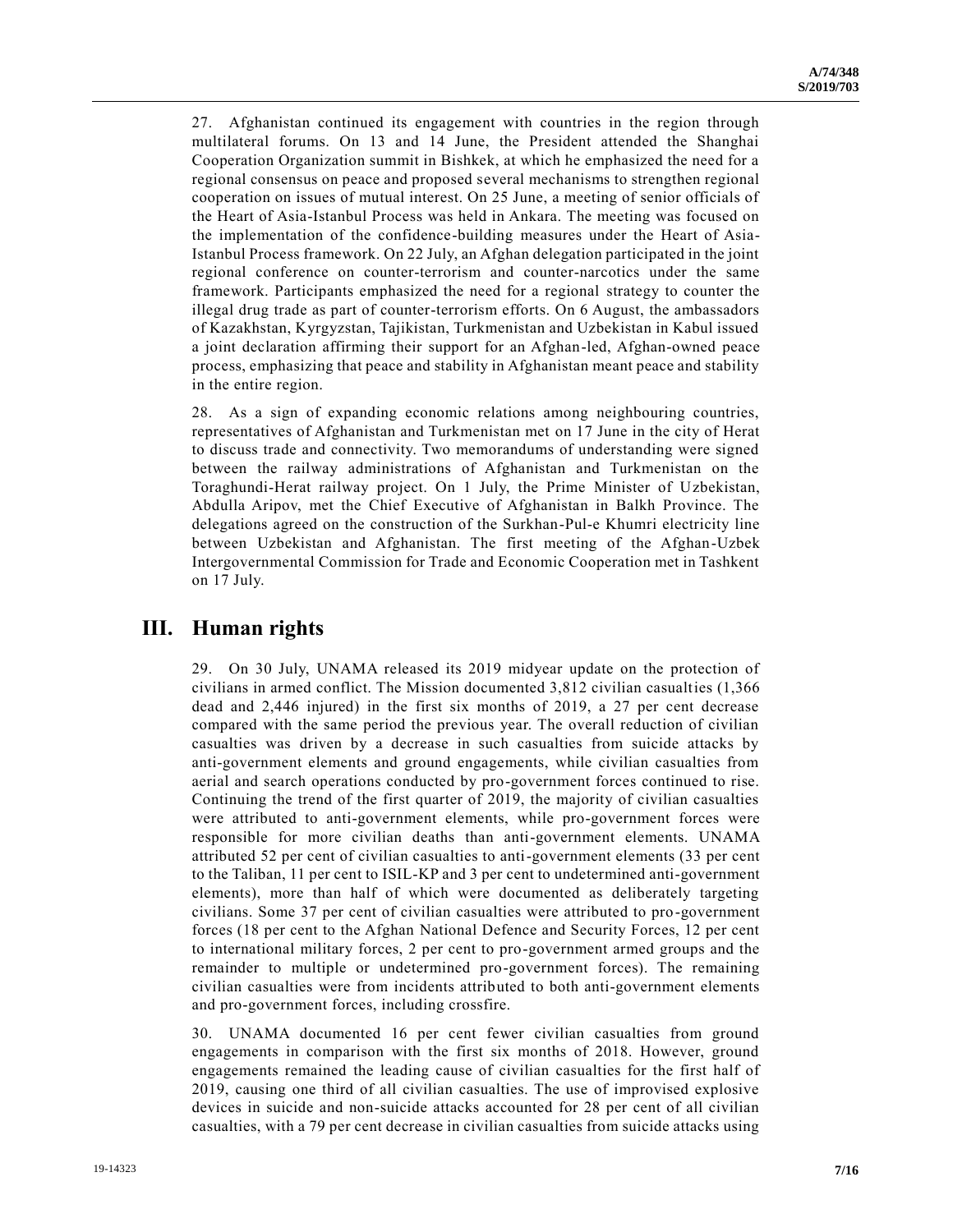27. Afghanistan continued its engagement with countries in the region through multilateral forums. On 13 and 14 June, the President attended the Shanghai Cooperation Organization summit in Bishkek, at which he emphasized the need for a regional consensus on peace and proposed several mechanisms to strengthen regional cooperation on issues of mutual interest. On 25 June, a meeting of senior officials of the Heart of Asia-Istanbul Process was held in Ankara. The meeting was focused on the implementation of the confidence-building measures under the Heart of Asia-Istanbul Process framework. On 22 July, an Afghan delegation participated in the joint regional conference on counter-terrorism and counter-narcotics under the same framework. Participants emphasized the need for a regional strategy to counter the illegal drug trade as part of counter-terrorism efforts. On 6 August, the ambassadors of Kazakhstan, Kyrgyzstan, Tajikistan, Turkmenistan and Uzbekistan in Kabul issued a joint declaration affirming their support for an Afghan-led, Afghan-owned peace process, emphasizing that peace and stability in Afghanistan meant peace and stability in the entire region.

28. As a sign of expanding economic relations among neighbouring countries, representatives of Afghanistan and Turkmenistan met on 17 June in the city of Herat to discuss trade and connectivity. Two memorandums of understanding were signed between the railway administrations of Afghanistan and Turkmenistan on the Toraghundi-Herat railway project. On 1 July, the Prime Minister of Uzbekistan, Abdulla Aripov, met the Chief Executive of Afghanistan in Balkh Province. The delegations agreed on the construction of the Surkhan-Pul-e Khumri electricity line between Uzbekistan and Afghanistan. The first meeting of the Afghan-Uzbek Intergovernmental Commission for Trade and Economic Cooperation met in Tashkent on 17 July.

#### **III. Human rights**

29. On 30 July, UNAMA released its 2019 midyear update on the protection of civilians in armed conflict. The Mission documented 3,812 civilian casualties (1,366 dead and 2,446 injured) in the first six months of 2019, a 27 per cent decrease compared with the same period the previous year. The overall reduction of civilian casualties was driven by a decrease in such casualties from suicide attacks by anti-government elements and ground engagements, while civilian casualties from aerial and search operations conducted by pro-government forces continued to rise. Continuing the trend of the first quarter of 2019, the majority of civilian casualties were attributed to anti-government elements, while pro-government forces were responsible for more civilian deaths than anti-government elements. UNAMA attributed 52 per cent of civilian casualties to anti-government elements (33 per cent to the Taliban, 11 per cent to ISIL-KP and 3 per cent to undetermined anti-government elements), more than half of which were documented as deliberately targeting civilians. Some 37 per cent of civilian casualties were attributed to pro -government forces (18 per cent to the Afghan National Defence and Security Forces, 12 per cent to international military forces, 2 per cent to pro-government armed groups and the remainder to multiple or undetermined pro-government forces). The remaining civilian casualties were from incidents attributed to both anti-government elements and pro-government forces, including crossfire.

30. UNAMA documented 16 per cent fewer civilian casualties from ground engagements in comparison with the first six months of 2018. However, ground engagements remained the leading cause of civilian casualties for the first half of 2019, causing one third of all civilian casualties. The use of improvised explosive devices in suicide and non-suicide attacks accounted for 28 per cent of all civilian casualties, with a 79 per cent decrease in civilian casualties from suicide attacks using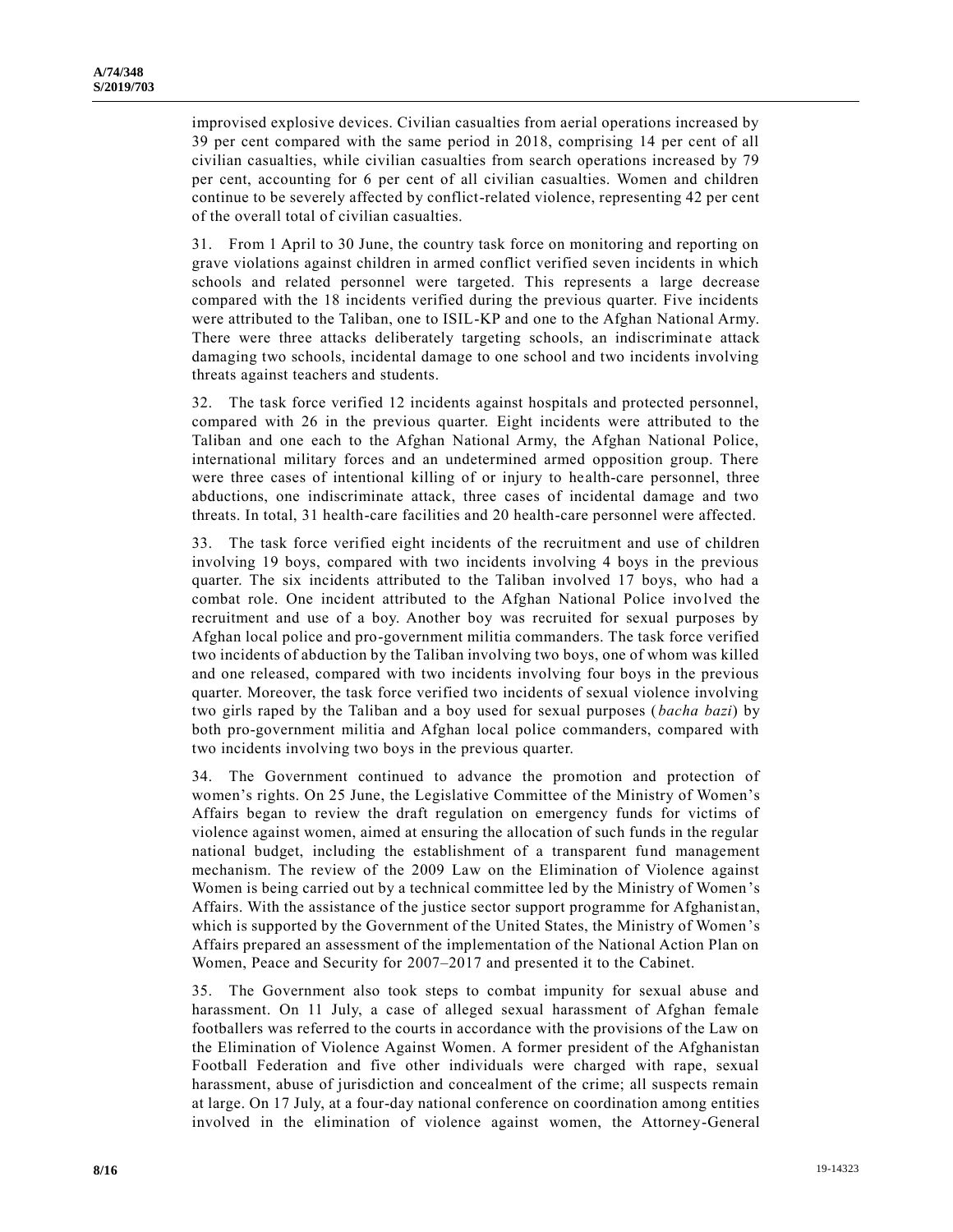improvised explosive devices. Civilian casualties from aerial operations increased by 39 per cent compared with the same period in 2018, comprising 14 per cent of all civilian casualties, while civilian casualties from search operations increased by 79 per cent, accounting for 6 per cent of all civilian casualties. Women and children continue to be severely affected by conflict-related violence, representing 42 per cent of the overall total of civilian casualties.

31. From 1 April to 30 June, the country task force on monitoring and reporting on grave violations against children in armed conflict verified seven incidents in which schools and related personnel were targeted. This represents a large decrease compared with the 18 incidents verified during the previous quarter. Five incidents were attributed to the Taliban, one to ISIL-KP and one to the Afghan National Army. There were three attacks deliberately targeting schools, an indiscriminate attack damaging two schools, incidental damage to one school and two incidents involving threats against teachers and students.

32. The task force verified 12 incidents against hospitals and protected personnel, compared with 26 in the previous quarter. Eight incidents were attributed to the Taliban and one each to the Afghan National Army, the Afghan National Police, international military forces and an undetermined armed opposition group. There were three cases of intentional killing of or injury to health-care personnel, three abductions, one indiscriminate attack, three cases of incidental damage and two threats. In total, 31 health-care facilities and 20 health-care personnel were affected.

33. The task force verified eight incidents of the recruitment and use of children involving 19 boys, compared with two incidents involving 4 boys in the previous quarter. The six incidents attributed to the Taliban involved 17 boys, who had a combat role. One incident attributed to the Afghan National Police involved the recruitment and use of a boy. Another boy was recruited for sexual purposes by Afghan local police and pro-government militia commanders. The task force verified two incidents of abduction by the Taliban involving two boys, one of whom was killed and one released, compared with two incidents involving four boys in the previous quarter. Moreover, the task force verified two incidents of sexual violence involving two girls raped by the Taliban and a boy used for sexual purposes (*bacha bazi*) by both pro-government militia and Afghan local police commanders, compared with two incidents involving two boys in the previous quarter.

34. The Government continued to advance the promotion and protection of women's rights. On 25 June, the Legislative Committee of the Ministry of Women's Affairs began to review the draft regulation on emergency funds for victims of violence against women, aimed at ensuring the allocation of such funds in the regular national budget, including the establishment of a transparent fund management mechanism. The review of the 2009 Law on the Elimination of Violence against Women is being carried out by a technical committee led by the Ministry of Women's Affairs. With the assistance of the justice sector support programme for Afghanist an, which is supported by the Government of the United States, the Ministry of Women's Affairs prepared an assessment of the implementation of the National Action Plan on Women, Peace and Security for 2007–2017 and presented it to the Cabinet.

35. The Government also took steps to combat impunity for sexual abuse and harassment. On 11 July, a case of alleged sexual harassment of Afghan female footballers was referred to the courts in accordance with the provisions of the Law on the Elimination of Violence Against Women. A former president of the Afghanistan Football Federation and five other individuals were charged with rape, sexual harassment, abuse of jurisdiction and concealment of the crime; all suspects remain at large. On 17 July, at a four-day national conference on coordination among entities involved in the elimination of violence against women, the Attorney-General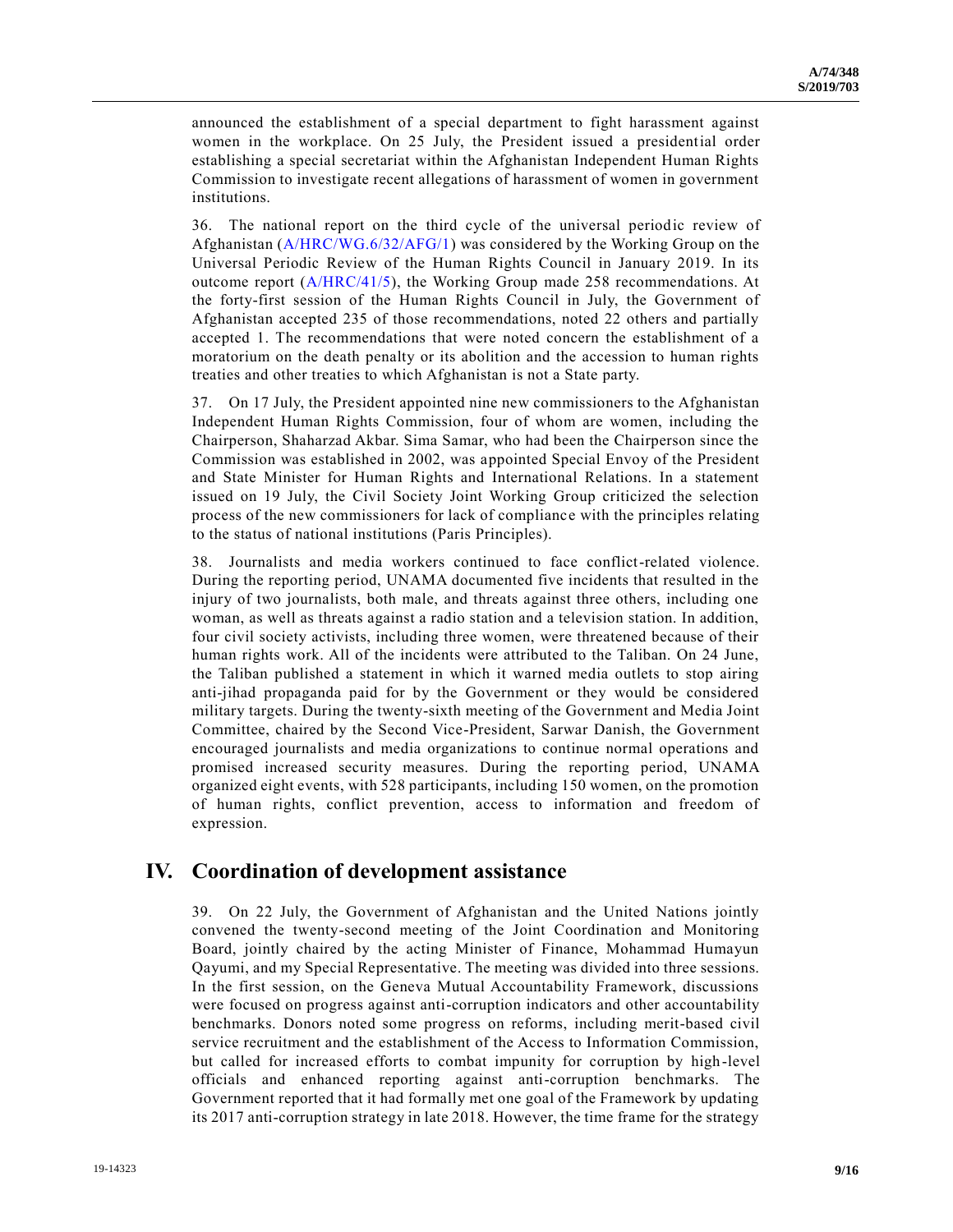announced the establishment of a special department to fight harassment against women in the workplace. On 25 July, the President issued a presidential order establishing a special secretariat within the Afghanistan Independent Human Rights Commission to investigate recent allegations of harassment of women in government institutions.

36. The national report on the third cycle of the universal periodic review of Afghanistan [\(A/HRC/WG.6/32/AFG/1\)](https://undocs.org/en/A/HRC/WG.6/32/AFG/1) was considered by the Working Group on the Universal Periodic Review of the Human Rights Council in January 2019. In its outcome report  $(A/HRC/41/5)$ , the Working Group made 258 recommendations. At the forty-first session of the Human Rights Council in July, the Government of Afghanistan accepted 235 of those recommendations, noted 22 others and partially accepted 1. The recommendations that were noted concern the establishment of a moratorium on the death penalty or its abolition and the accession to human rights treaties and other treaties to which Afghanistan is not a State party.

37. On 17 July, the President appointed nine new commissioners to the Afghanistan Independent Human Rights Commission, four of whom are women, including the Chairperson, Shaharzad Akbar. Sima Samar, who had been the Chairperson since the Commission was established in 2002, was appointed Special Envoy of the President and State Minister for Human Rights and International Relations. In a statement issued on 19 July, the Civil Society Joint Working Group criticized the selection process of the new commissioners for lack of compliance with the principles relating to the status of national institutions (Paris Principles).

38. Journalists and media workers continued to face conflict-related violence. During the reporting period, UNAMA documented five incidents that resulted in the injury of two journalists, both male, and threats against three others, including one woman, as well as threats against a radio station and a television station. In addition, four civil society activists, including three women, were threatened because of their human rights work. All of the incidents were attributed to the Taliban. On 24 June, the Taliban published a statement in which it warned media outlets to stop airing anti-jihad propaganda paid for by the Government or they would be considered military targets. During the twenty-sixth meeting of the Government and Media Joint Committee, chaired by the Second Vice-President, Sarwar Danish, the Government encouraged journalists and media organizations to continue normal operations and promised increased security measures. During the reporting period, UNAMA organized eight events, with 528 participants, including 150 women, on the promotion of human rights, conflict prevention, access to information and freedom of expression.

#### **IV. Coordination of development assistance**

39. On 22 July, the Government of Afghanistan and the United Nations jointly convened the twenty-second meeting of the Joint Coordination and Monitoring Board, jointly chaired by the acting Minister of Finance, Mohammad Humayun Qayumi, and my Special Representative. The meeting was divided into three sessions. In the first session, on the Geneva Mutual Accountability Framework, discussions were focused on progress against anti-corruption indicators and other accountability benchmarks. Donors noted some progress on reforms, including merit-based civil service recruitment and the establishment of the Access to Information Commission, but called for increased efforts to combat impunity for corruption by high -level officials and enhanced reporting against anti-corruption benchmarks. The Government reported that it had formally met one goal of the Framework by updating its 2017 anti-corruption strategy in late 2018. However, the time frame for the strategy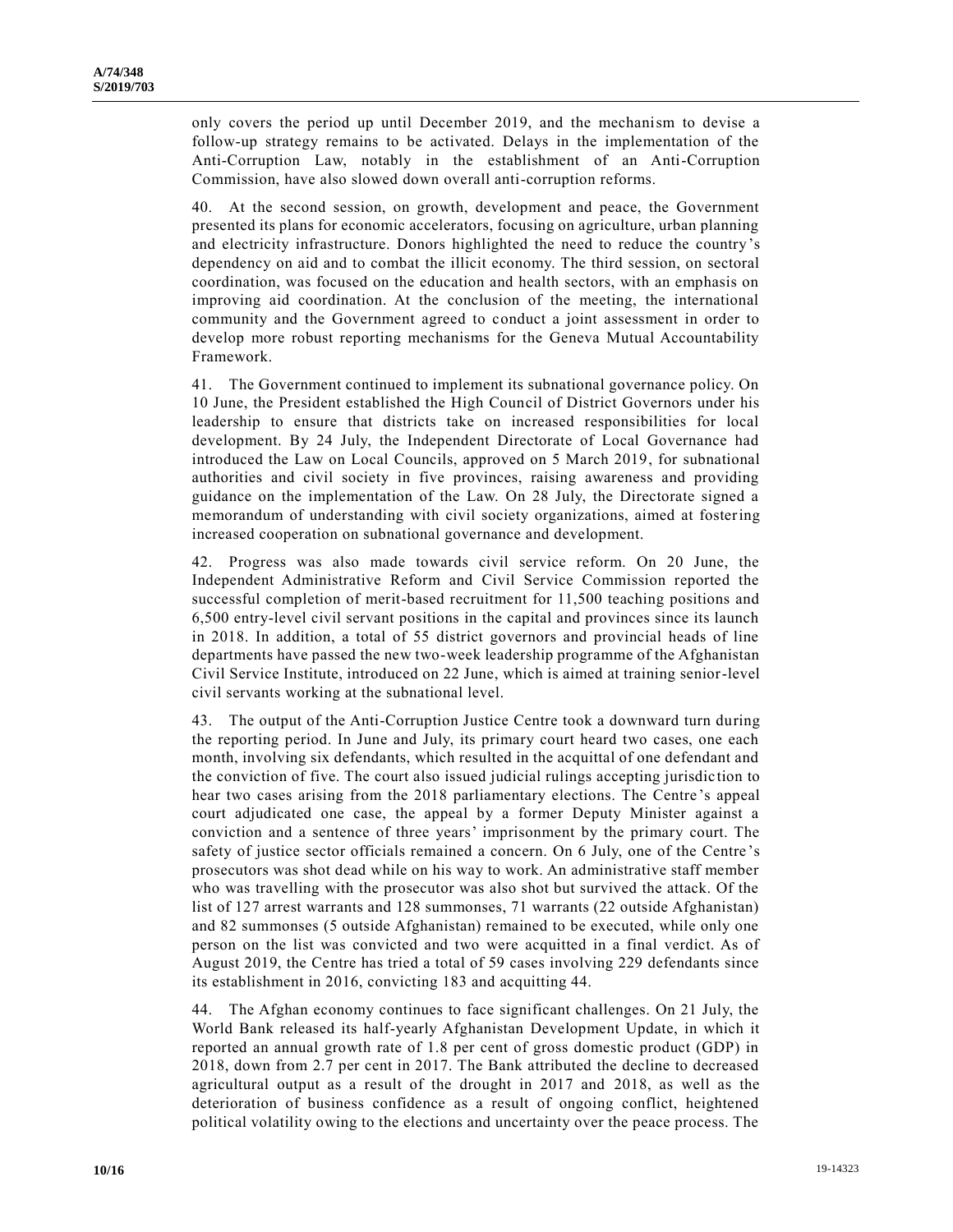only covers the period up until December 2019, and the mechanism to devise a follow-up strategy remains to be activated. Delays in the implementation of the Anti-Corruption Law, notably in the establishment of an Anti-Corruption Commission, have also slowed down overall anti-corruption reforms.

40. At the second session, on growth, development and peace, the Government presented its plans for economic accelerators, focusing on agriculture, urban planning and electricity infrastructure. Donors highlighted the need to reduce the country's dependency on aid and to combat the illicit economy. The third session, on sectoral coordination, was focused on the education and health sectors, with an emphasis on improving aid coordination. At the conclusion of the meeting, the international community and the Government agreed to conduct a joint assessment in order to develop more robust reporting mechanisms for the Geneva Mutual Accountability Framework.

41. The Government continued to implement its subnational governance policy. On 10 June, the President established the High Council of District Governors under his leadership to ensure that districts take on increased responsibilities for local development. By 24 July, the Independent Directorate of Local Governance had introduced the Law on Local Councils, approved on 5 March 2019, for subnational authorities and civil society in five provinces, raising awareness and providing guidance on the implementation of the Law. On 28 July, the Directorate signed a memorandum of understanding with civil society organizations, aimed at fostering increased cooperation on subnational governance and development.

42. Progress was also made towards civil service reform. On 20 June, the Independent Administrative Reform and Civil Service Commission reported the successful completion of merit-based recruitment for 11,500 teaching positions and 6,500 entry-level civil servant positions in the capital and provinces since its launch in 2018. In addition, a total of 55 district governors and provincial heads of line departments have passed the new two-week leadership programme of the Afghanistan Civil Service Institute, introduced on 22 June, which is aimed at training senior-level civil servants working at the subnational level.

43. The output of the Anti-Corruption Justice Centre took a downward turn during the reporting period. In June and July, its primary court heard two cases, one each month, involving six defendants, which resulted in the acquittal of one defendant and the conviction of five. The court also issued judicial rulings accepting jurisdic tion to hear two cases arising from the 2018 parliamentary elections. The Centre 's appeal court adjudicated one case, the appeal by a former Deputy Minister against a conviction and a sentence of three years' imprisonment by the primary court. The safety of justice sector officials remained a concern. On 6 July, one of the Centre 's prosecutors was shot dead while on his way to work. An administrative staff member who was travelling with the prosecutor was also shot but survived the attack. Of the list of 127 arrest warrants and 128 summonses, 71 warrants (22 outside Afghanistan) and 82 summonses (5 outside Afghanistan) remained to be executed, while only one person on the list was convicted and two were acquitted in a final verdict. As of August 2019, the Centre has tried a total of 59 cases involving 229 defendants since its establishment in 2016, convicting 183 and acquitting 44.

44. The Afghan economy continues to face significant challenges. On 21 July, the World Bank released its half-yearly Afghanistan Development Update, in which it reported an annual growth rate of 1.8 per cent of gross domestic product (GDP) in 2018, down from 2.7 per cent in 2017. The Bank attributed the decline to decreased agricultural output as a result of the drought in 2017 and 2018, as well as the deterioration of business confidence as a result of ongoing conflict, heightened political volatility owing to the elections and uncertainty over the peace process. The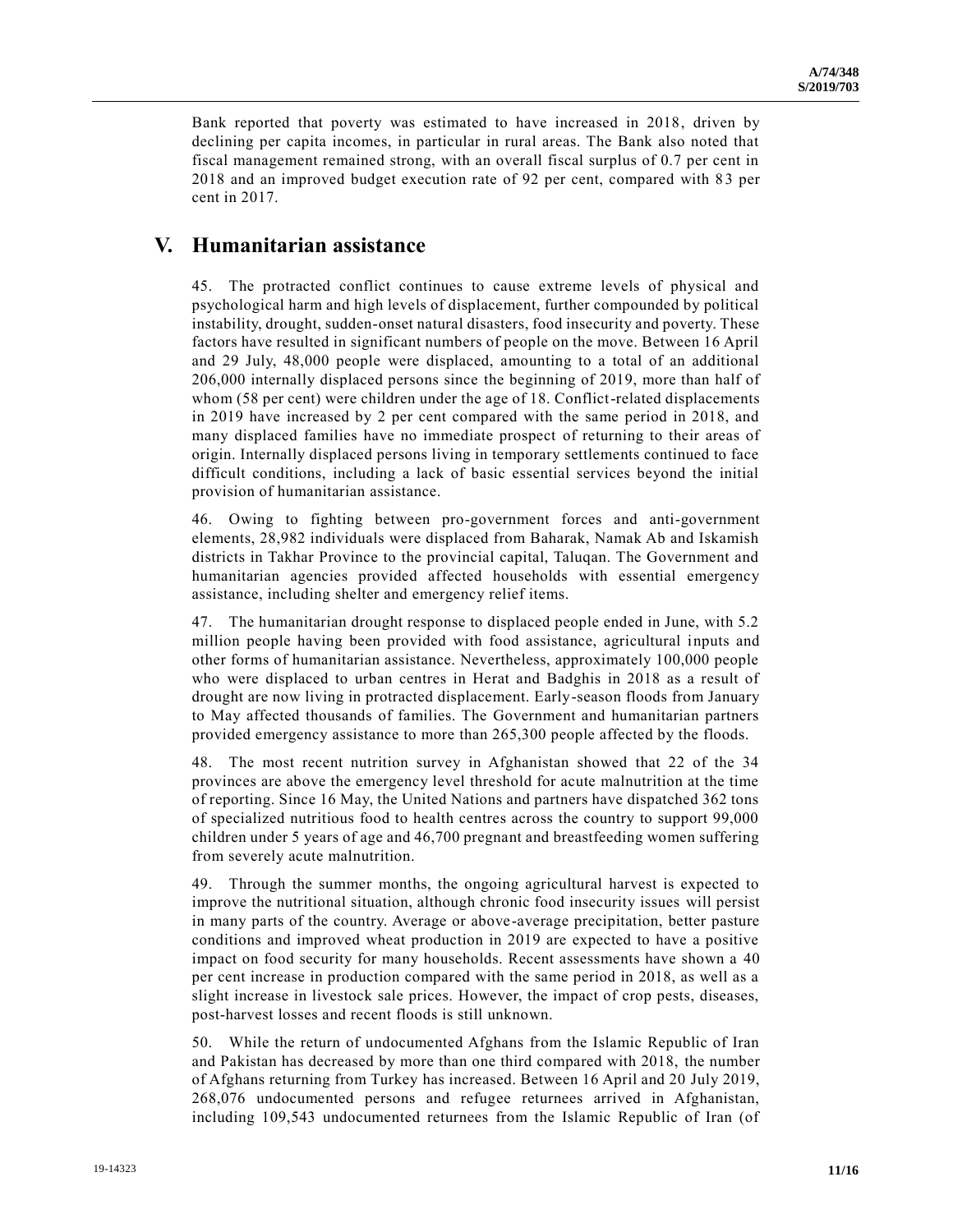Bank reported that poverty was estimated to have increased in 2018, driven by declining per capita incomes, in particular in rural areas. The Bank also noted that fiscal management remained strong, with an overall fiscal surplus of 0.7 per cent in 2018 and an improved budget execution rate of 92 per cent, compared with 8 3 per cent in 2017.

### **V. Humanitarian assistance**

45. The protracted conflict continues to cause extreme levels of physical and psychological harm and high levels of displacement, further compounded by political instability, drought, sudden-onset natural disasters, food insecurity and poverty. These factors have resulted in significant numbers of people on the move. Between 16 April and 29 July, 48,000 people were displaced, amounting to a total of an additional 206,000 internally displaced persons since the beginning of 2019, more than half of whom (58 per cent) were children under the age of 18. Conflict-related displacements in 2019 have increased by 2 per cent compared with the same period in 2018, and many displaced families have no immediate prospect of returning to their areas of origin. Internally displaced persons living in temporary settlements continued to face difficult conditions, including a lack of basic essential services beyond the initial provision of humanitarian assistance.

46. Owing to fighting between pro-government forces and anti-government elements, 28,982 individuals were displaced from Baharak, Namak Ab and Iskamish districts in Takhar Province to the provincial capital, Taluqan. The Government and humanitarian agencies provided affected households with essential emergency assistance, including shelter and emergency relief items.

47. The humanitarian drought response to displaced people ended in June, with 5.2 million people having been provided with food assistance, agricultural inputs and other forms of humanitarian assistance. Nevertheless, approximately 100,000 people who were displaced to urban centres in Herat and Badghis in 2018 as a result of drought are now living in protracted displacement. Early-season floods from January to May affected thousands of families. The Government and humanitarian partners provided emergency assistance to more than 265,300 people affected by the floods.

48. The most recent nutrition survey in Afghanistan showed that 22 of the 34 provinces are above the emergency level threshold for acute malnutrition at the time of reporting. Since 16 May, the United Nations and partners have dispatched 362 tons of specialized nutritious food to health centres across the country to support 99,000 children under 5 years of age and 46,700 pregnant and breastfeeding women suffering from severely acute malnutrition.

49. Through the summer months, the ongoing agricultural harvest is expected to improve the nutritional situation, although chronic food insecurity issues will persist in many parts of the country. Average or above-average precipitation, better pasture conditions and improved wheat production in 2019 are expected to have a positive impact on food security for many households. Recent assessments have shown a 40 per cent increase in production compared with the same period in 2018, as well as a slight increase in livestock sale prices. However, the impact of crop pests, diseases, post-harvest losses and recent floods is still unknown.

50. While the return of undocumented Afghans from the Islamic Republic of Iran and Pakistan has decreased by more than one third compared with 2018, the number of Afghans returning from Turkey has increased. Between 16 April and 20 July 2019, 268,076 undocumented persons and refugee returnees arrived in Afghanistan, including 109,543 undocumented returnees from the Islamic Republic of Iran (of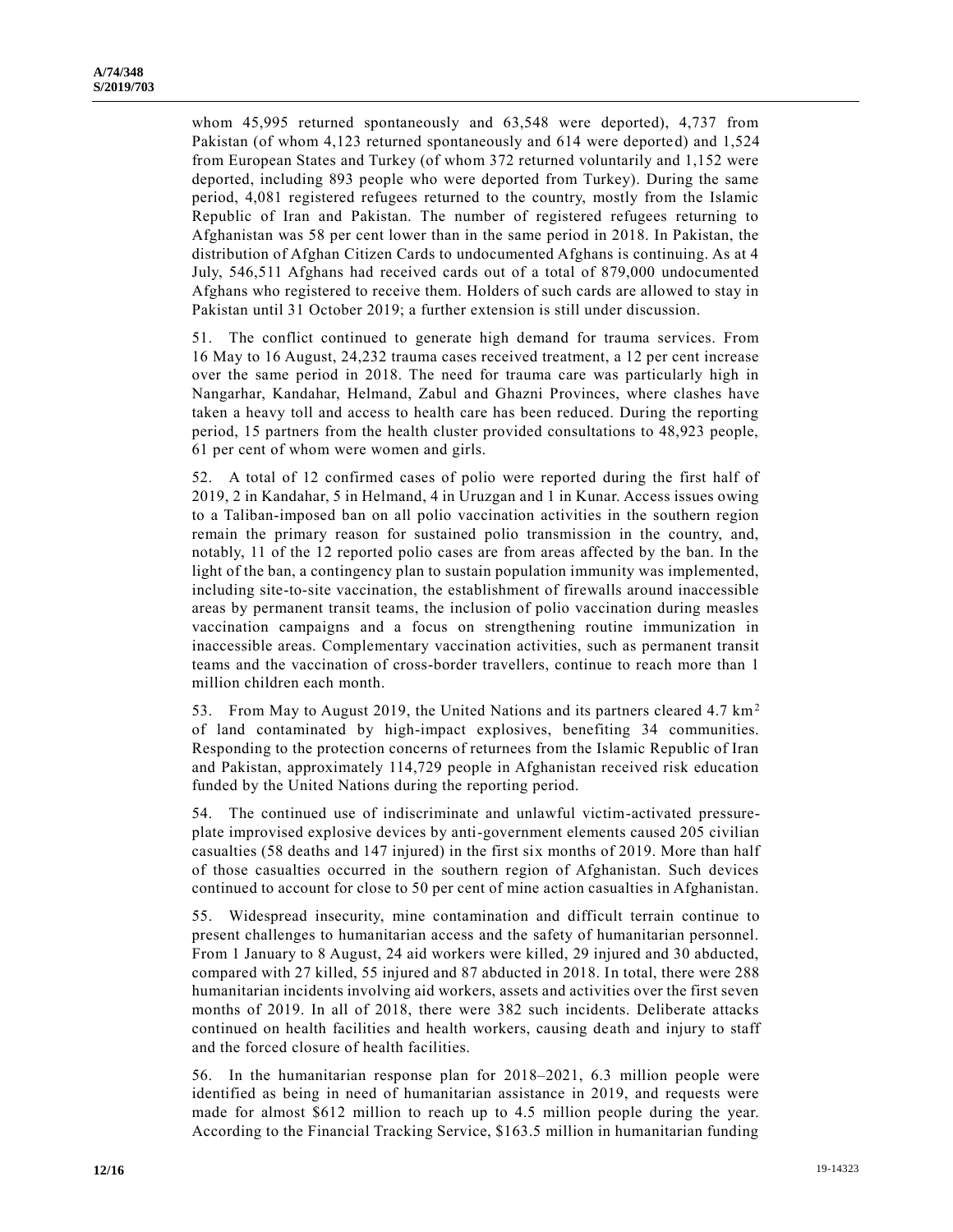whom 45,995 returned spontaneously and 63,548 were deported), 4,737 from Pakistan (of whom 4,123 returned spontaneously and 614 were deported) and 1,524 from European States and Turkey (of whom 372 returned voluntarily and 1,152 were deported, including 893 people who were deported from Turkey). During the same period, 4,081 registered refugees returned to the country, mostly from the Islamic Republic of Iran and Pakistan. The number of registered refugees returning to Afghanistan was 58 per cent lower than in the same period in 2018. In Pakistan, the distribution of Afghan Citizen Cards to undocumented Afghans is continuing. As at 4 July, 546,511 Afghans had received cards out of a total of 879,000 undocumented Afghans who registered to receive them. Holders of such cards are allowed to stay in Pakistan until 31 October 2019; a further extension is still under discussion.

51. The conflict continued to generate high demand for trauma services. From 16 May to 16 August, 24,232 trauma cases received treatment, a 12 per cent increase over the same period in 2018. The need for trauma care was particularly high in Nangarhar, Kandahar, Helmand, Zabul and Ghazni Provinces, where clashes have taken a heavy toll and access to health care has been reduced. During the reporting period, 15 partners from the health cluster provided consultations to 48,923 people, 61 per cent of whom were women and girls.

52. A total of 12 confirmed cases of polio were reported during the first half of 2019, 2 in Kandahar, 5 in Helmand, 4 in Uruzgan and 1 in Kunar. Access issues owing to a Taliban-imposed ban on all polio vaccination activities in the southern region remain the primary reason for sustained polio transmission in the country, and, notably, 11 of the 12 reported polio cases are from areas affected by the ban. In the light of the ban, a contingency plan to sustain population immunity was implemented, including site-to-site vaccination, the establishment of firewalls around inaccessible areas by permanent transit teams, the inclusion of polio vaccination during measles vaccination campaigns and a focus on strengthening routine immunization in inaccessible areas. Complementary vaccination activities, such as permanent transit teams and the vaccination of cross-border travellers, continue to reach more than 1 million children each month.

53. From May to August 2019, the United Nations and its partners cleared 4.7  $km<sup>2</sup>$ of land contaminated by high-impact explosives, benefiting 34 communities. Responding to the protection concerns of returnees from the Islamic Republic of Iran and Pakistan, approximately 114,729 people in Afghanistan received risk education funded by the United Nations during the reporting period.

54. The continued use of indiscriminate and unlawful victim-activated pressureplate improvised explosive devices by anti-government elements caused 205 civilian casualties (58 deaths and 147 injured) in the first six months of 2019. More than half of those casualties occurred in the southern region of Afghanistan. Such devices continued to account for close to 50 per cent of mine action casualties in Afghanistan.

55. Widespread insecurity, mine contamination and difficult terrain continue to present challenges to humanitarian access and the safety of humanitarian personnel. From 1 January to 8 August, 24 aid workers were killed, 29 injured and 30 abducted, compared with 27 killed, 55 injured and 87 abducted in 2018. In total, there were 288 humanitarian incidents involving aid workers, assets and activities over the first seven months of 2019. In all of 2018, there were 382 such incidents. Deliberate attacks continued on health facilities and health workers, causing death and injury to staff and the forced closure of health facilities.

56. In the humanitarian response plan for 2018–2021, 6.3 million people were identified as being in need of humanitarian assistance in 2019, and requests were made for almost \$612 million to reach up to 4.5 million people during the year. According to the Financial Tracking Service, \$163.5 million in humanitarian funding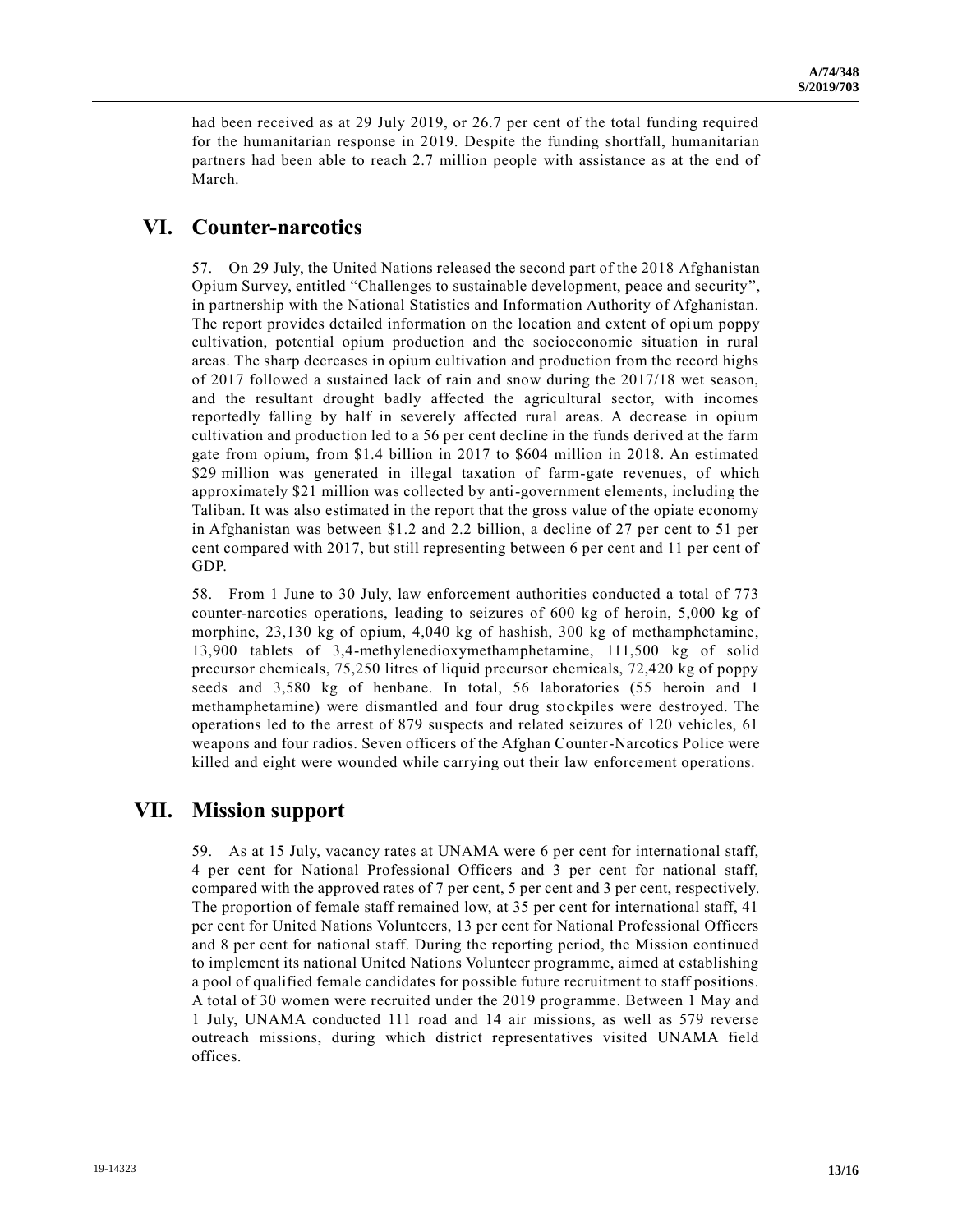had been received as at 29 July 2019, or 26.7 per cent of the total funding required for the humanitarian response in 2019. Despite the funding shortfall, humanitarian partners had been able to reach 2.7 million people with assistance as at the end of March.

## **VI. Counter-narcotics**

57. On 29 July, the United Nations released the second part of the 2018 Afghanistan Opium Survey, entitled "Challenges to sustainable development, peace and security", in partnership with the National Statistics and Information Authority of Afghanistan. The report provides detailed information on the location and extent of opium poppy cultivation, potential opium production and the socioeconomic situation in rural areas. The sharp decreases in opium cultivation and production from the record highs of 2017 followed a sustained lack of rain and snow during the 2017/18 wet season, and the resultant drought badly affected the agricultural sector, with incomes reportedly falling by half in severely affected rural areas. A decrease in opium cultivation and production led to a 56 per cent decline in the funds derived at the farm gate from opium, from \$1.4 billion in 2017 to \$604 million in 2018. An estimated \$29 million was generated in illegal taxation of farm-gate revenues, of which approximately \$21 million was collected by anti-government elements, including the Taliban. It was also estimated in the report that the gross value of the opiate economy in Afghanistan was between \$1.2 and 2.2 billion, a decline of 27 per cent to 51 per cent compared with 2017, but still representing between 6 per cent and 11 per cent of GDP.

58. From 1 June to 30 July, law enforcement authorities conducted a total of 773 counter-narcotics operations, leading to seizures of 600 kg of heroin, 5,000 kg of morphine, 23,130 kg of opium, 4,040 kg of hashish, 300 kg of methamphetamine, 13,900 tablets of 3,4-methylenedioxymethamphetamine, 111,500 kg of solid precursor chemicals, 75,250 litres of liquid precursor chemicals, 72,420 kg of poppy seeds and 3,580 kg of henbane. In total, 56 laboratories (55 heroin and 1 methamphetamine) were dismantled and four drug stockpiles were destroyed. The operations led to the arrest of 879 suspects and related seizures of 120 vehicles, 61 weapons and four radios. Seven officers of the Afghan Counter-Narcotics Police were killed and eight were wounded while carrying out their law enforcement operations.

#### **VII. Mission support**

59. As at 15 July, vacancy rates at UNAMA were 6 per cent for international staff, 4 per cent for National Professional Officers and 3 per cent for national staff, compared with the approved rates of 7 per cent, 5 per cent and 3 per cent, respectively. The proportion of female staff remained low, at 35 per cent for international staff, 41 per cent for United Nations Volunteers, 13 per cent for National Professional Officers and 8 per cent for national staff. During the reporting period, the Mission continued to implement its national United Nations Volunteer programme, aimed at establishing a pool of qualified female candidates for possible future recruitment to staff positions. A total of 30 women were recruited under the 2019 programme. Between 1 May and 1 July, UNAMA conducted 111 road and 14 air missions, as well as 579 reverse outreach missions, during which district representatives visited UNAMA field offices.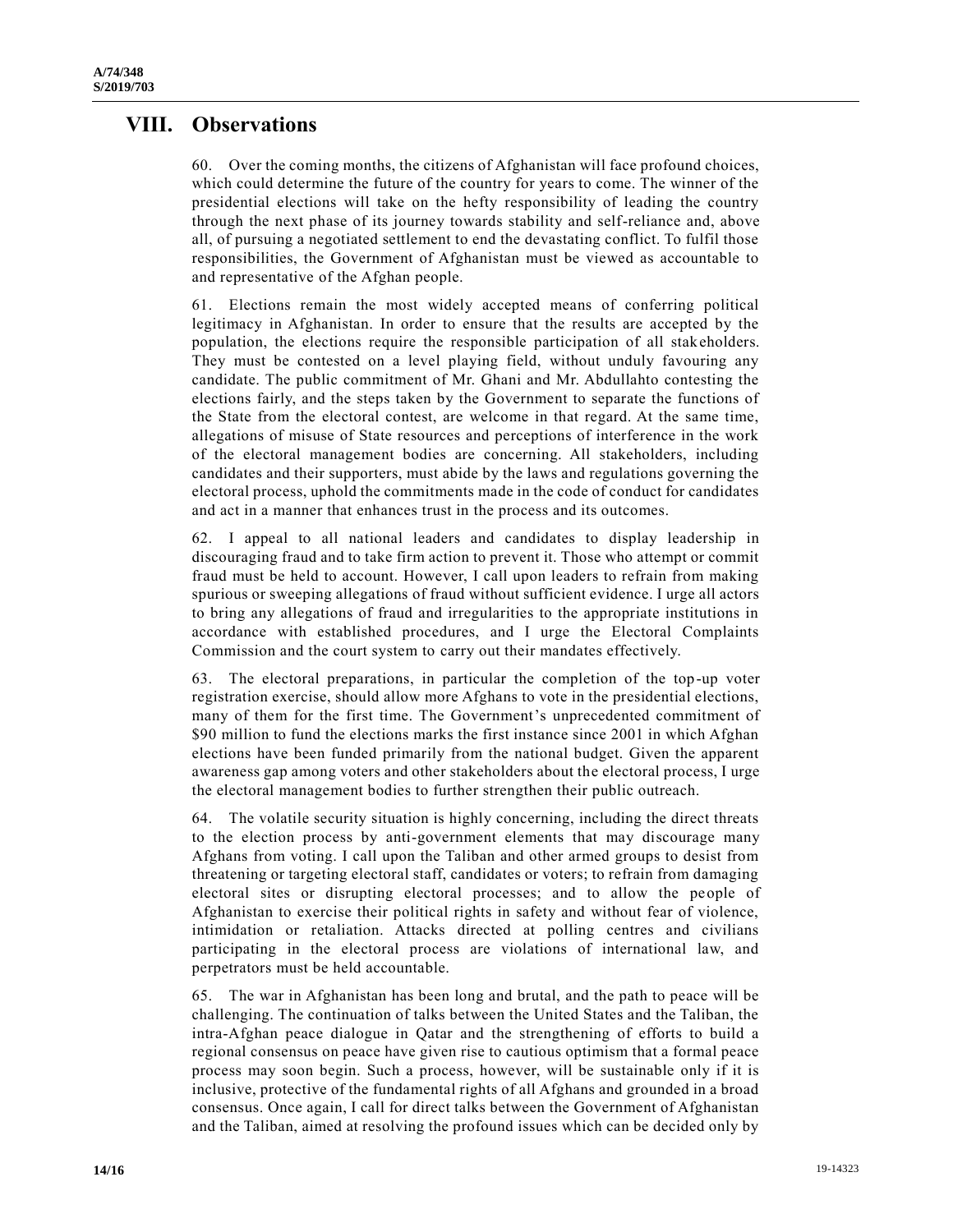#### **VIII. Observations**

60. Over the coming months, the citizens of Afghanistan will face profound choices, which could determine the future of the country for years to come. The winner of the presidential elections will take on the hefty responsibility of leading the country through the next phase of its journey towards stability and self-reliance and, above all, of pursuing a negotiated settlement to end the devastating conflict. To fulfil those responsibilities, the Government of Afghanistan must be viewed as accountable to and representative of the Afghan people.

61. Elections remain the most widely accepted means of conferring political legitimacy in Afghanistan. In order to ensure that the results are accepted by the population, the elections require the responsible participation of all stakeholders. They must be contested on a level playing field, without unduly favouring any candidate. The public commitment of Mr. Ghani and Mr. Abdullahto contesting the elections fairly, and the steps taken by the Government to separate the functions of the State from the electoral contest, are welcome in that regard. At the same time, allegations of misuse of State resources and perceptions of interference in the work of the electoral management bodies are concerning. All stakeholders, including candidates and their supporters, must abide by the laws and regulations governing the electoral process, uphold the commitments made in the code of conduct for candidates and act in a manner that enhances trust in the process and its outcomes.

62. I appeal to all national leaders and candidates to display leadership in discouraging fraud and to take firm action to prevent it. Those who attempt or commit fraud must be held to account. However, I call upon leaders to refrain from making spurious or sweeping allegations of fraud without sufficient evidence. I urge all actors to bring any allegations of fraud and irregularities to the appropriate institutions in accordance with established procedures, and I urge the Electoral Complaints Commission and the court system to carry out their mandates effectively.

63. The electoral preparations, in particular the completion of the top-up voter registration exercise, should allow more Afghans to vote in the presidential elections, many of them for the first time. The Government's unprecedented commitment of \$90 million to fund the elections marks the first instance since 2001 in which Afghan elections have been funded primarily from the national budget. Given the apparent awareness gap among voters and other stakeholders about the electoral process, I urge the electoral management bodies to further strengthen their public outreach.

64. The volatile security situation is highly concerning, including the direct threats to the election process by anti-government elements that may discourage many Afghans from voting. I call upon the Taliban and other armed groups to desist from threatening or targeting electoral staff, candidates or voters; to refrain from damaging electoral sites or disrupting electoral processes; and to allow the people of Afghanistan to exercise their political rights in safety and without fear of violence, intimidation or retaliation. Attacks directed at polling centres and civilians participating in the electoral process are violations of international law, and perpetrators must be held accountable.

65. The war in Afghanistan has been long and brutal, and the path to peace will be challenging. The continuation of talks between the United States and the Taliban, the intra-Afghan peace dialogue in Qatar and the strengthening of efforts to build a regional consensus on peace have given rise to cautious optimism that a formal peace process may soon begin. Such a process, however, will be sustainable only if it is inclusive, protective of the fundamental rights of all Afghans and grounded in a broad consensus. Once again, I call for direct talks between the Government of Afghanistan and the Taliban, aimed at resolving the profound issues which can be decided only by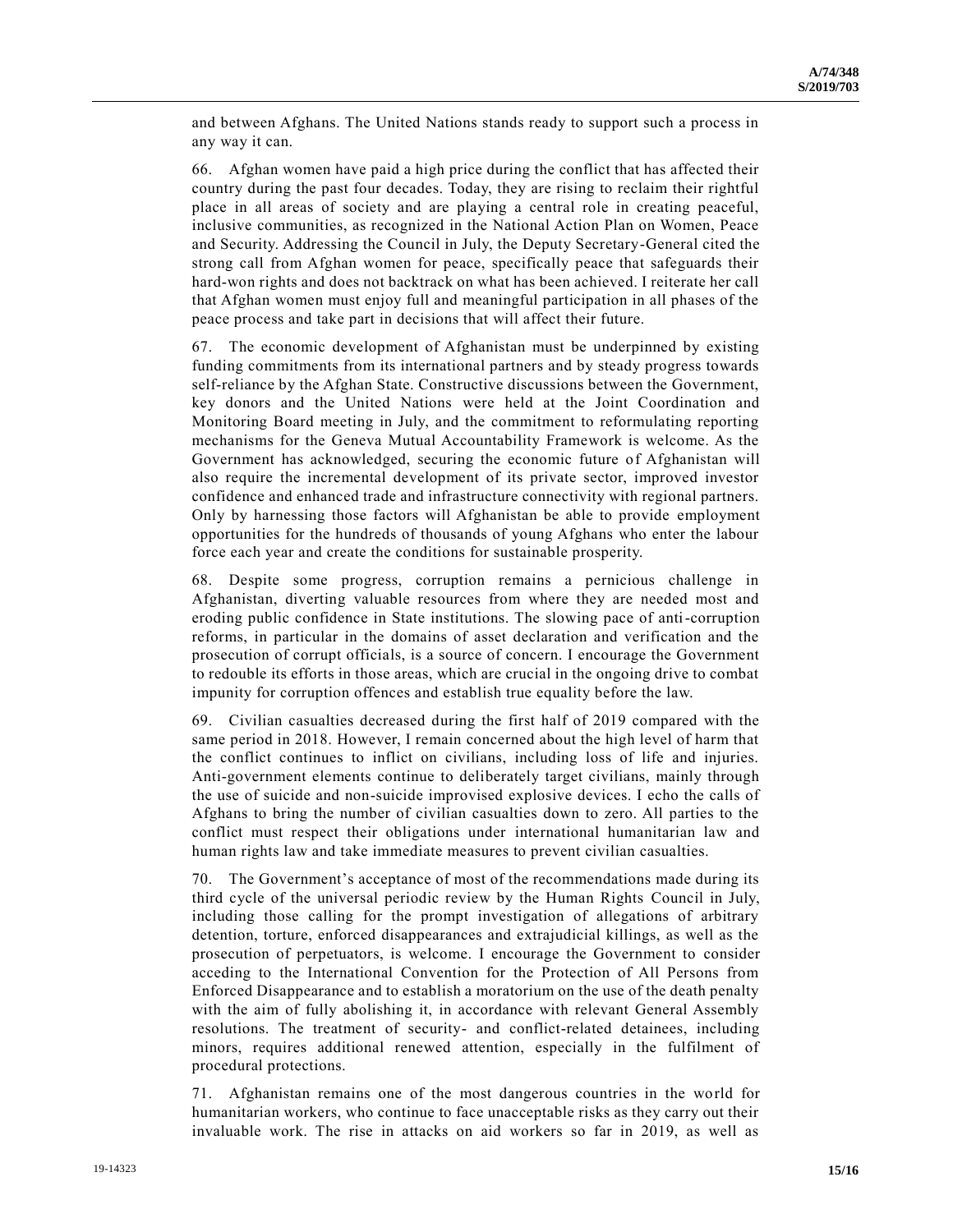and between Afghans. The United Nations stands ready to support such a process in any way it can.

66. Afghan women have paid a high price during the conflict that has affected their country during the past four decades. Today, they are rising to reclaim their rightful place in all areas of society and are playing a central role in creating peaceful, inclusive communities, as recognized in the National Action Plan on Women, Peace and Security. Addressing the Council in July, the Deputy Secretary-General cited the strong call from Afghan women for peace, specifically peace that safeguards their hard-won rights and does not backtrack on what has been achieved. I reiterate her call that Afghan women must enjoy full and meaningful participation in all phases of the peace process and take part in decisions that will affect their future.

67. The economic development of Afghanistan must be underpinned by existing funding commitments from its international partners and by steady progress towards self-reliance by the Afghan State. Constructive discussions between the Government, key donors and the United Nations were held at the Joint Coordination and Monitoring Board meeting in July, and the commitment to reformulating reporting mechanisms for the Geneva Mutual Accountability Framework is welcome. As the Government has acknowledged, securing the economic future of Afghanistan will also require the incremental development of its private sector, improved investor confidence and enhanced trade and infrastructure connectivity with regional partners. Only by harnessing those factors will Afghanistan be able to provide employment opportunities for the hundreds of thousands of young Afghans who enter the labour force each year and create the conditions for sustainable prosperity.

68. Despite some progress, corruption remains a pernicious challenge in Afghanistan, diverting valuable resources from where they are needed most and eroding public confidence in State institutions. The slowing pace of anti-corruption reforms, in particular in the domains of asset declaration and verification and the prosecution of corrupt officials, is a source of concern. I encourage the Government to redouble its efforts in those areas, which are crucial in the ongoing drive to combat impunity for corruption offences and establish true equality before the law.

69. Civilian casualties decreased during the first half of 2019 compared with the same period in 2018. However, I remain concerned about the high level of harm that the conflict continues to inflict on civilians, including loss of life and injuries. Anti-government elements continue to deliberately target civilians, mainly through the use of suicide and non-suicide improvised explosive devices. I echo the calls of Afghans to bring the number of civilian casualties down to zero. All parties to the conflict must respect their obligations under international humanitarian law and human rights law and take immediate measures to prevent civilian casualties.

70. The Government's acceptance of most of the recommendations made during its third cycle of the universal periodic review by the Human Rights Council in July, including those calling for the prompt investigation of allegations of arbitrary detention, torture, enforced disappearances and extrajudicial killings, as well as the prosecution of perpetuators, is welcome. I encourage the Government to consider acceding to the International Convention for the Protection of All Persons from Enforced Disappearance and to establish a moratorium on the use of the death penalty with the aim of fully abolishing it, in accordance with relevant General Assembly resolutions. The treatment of security- and conflict-related detainees, including minors, requires additional renewed attention, especially in the fulfilment of procedural protections.

71. Afghanistan remains one of the most dangerous countries in the world for humanitarian workers, who continue to face unacceptable risks as they carry out their invaluable work. The rise in attacks on aid workers so far in 2019, as well as